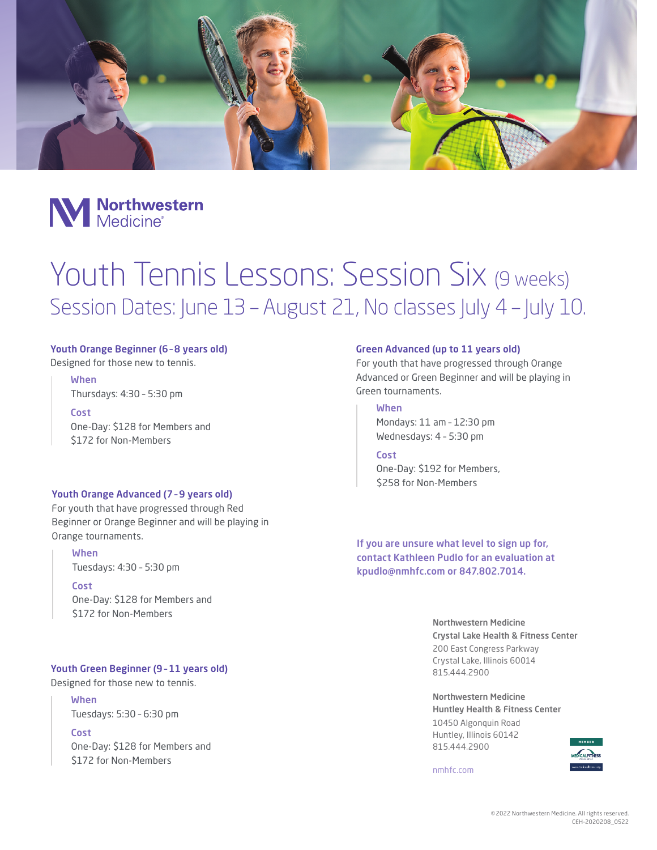



# Youth Tennis Lessons: Session Six (9 weeks) Session Dates: June 13 - August 21, No classes July 4 - July 10.

# Youth Orange Beginner (6 – 8 years old)

Designed for those new to tennis.

# When

Thursdays: 4:30 – 5:30 pm

Cost One-Day: \$128 for Members and \$172 for Non-Members

# Youth Orange Advanced (7 – 9 years old)

For youth that have progressed through Red Beginner or Orange Beginner and will be playing in Orange tournaments.

#### When

Tuesdays: 4:30 – 5:30 pm

#### Cost

One-Day: \$128 for Members and \$172 for Non-Members

# Youth Green Beginner (9 – 11 years old)

Designed for those new to tennis.

When Tuesdays: 5:30 – 6:30 pm

**Cost** One-Day: \$128 for Members and \$172 for Non-Members

#### Green Advanced (up to 11 years old)

For youth that have progressed through Orange Advanced or Green Beginner and will be playing in Green tournaments.

# When

Mondays: 11 am – 12:30 pm Wednesdays: 4 – 5:30 pm

#### Cost

One-Day: \$192 for Members, \$258 for Non-Members

If you are unsure what level to sign up for, contact Kathleen Pudlo for an evaluation at kpudlo@nmhfc.com or 847.802.7014.

> Northwestern Medicine Crystal Lake Health & Fitness Center 200 East Congress Parkway Crystal Lake, Illinois 60014 815.444.2900

Northwestern Medicine Huntley Health & Fitness Center 10450 Algonquin Road Huntley, Illinois 60142 815.444.2900



nmhfc.com